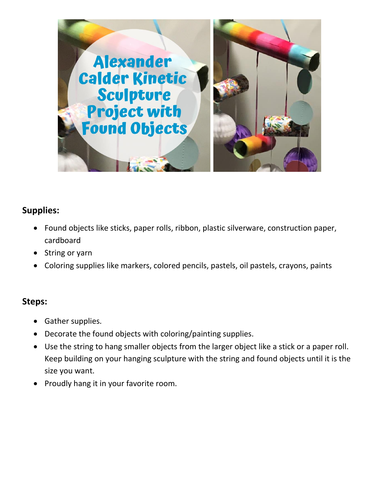

## **Supplies:**

- Found objects like sticks, paper rolls, ribbon, plastic silverware, construction paper, cardboard
- String or yarn
- Coloring supplies like markers, colored pencils, pastels, oil pastels, crayons, paints

## **Steps:**

- Gather supplies.
- Decorate the found objects with coloring/painting supplies.
- Use the string to hang smaller objects from the larger object like a stick or a paper roll. Keep building on your hanging sculpture with the string and found objects until it is the size you want.
- Proudly hang it in your favorite room.